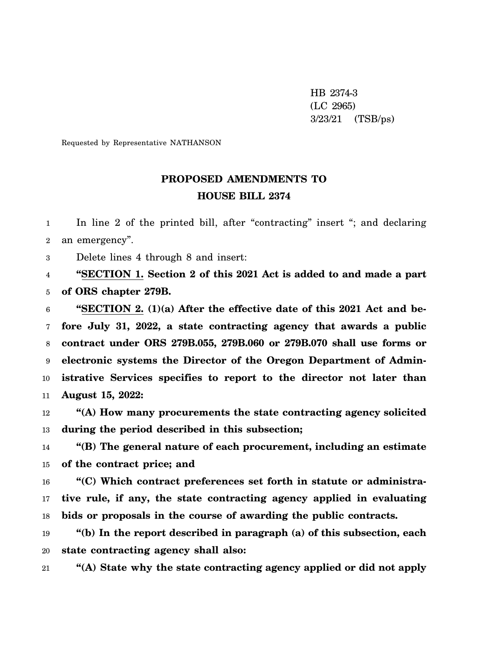HB 2374-3 (LC 2965) 3/23/21 (TSB/ps)

Requested by Representative NATHANSON

## **PROPOSED AMENDMENTS TO HOUSE BILL 2374**

1 2 In line 2 of the printed bill, after "contracting" insert "; and declaring an emergency".

3 Delete lines 4 through 8 and insert:

4 5 **"SECTION 1. Section 2 of this 2021 Act is added to and made a part of ORS chapter 279B.**

6 7 8 9 10 11 **"SECTION 2. (1)(a) After the effective date of this 2021 Act and before July 31, 2022, a state contracting agency that awards a public contract under ORS 279B.055, 279B.060 or 279B.070 shall use forms or electronic systems the Director of the Oregon Department of Administrative Services specifies to report to the director not later than August 15, 2022:**

12 13 **"(A) How many procurements the state contracting agency solicited during the period described in this subsection;**

14 15 **"(B) The general nature of each procurement, including an estimate of the contract price; and**

16 17 18 **"(C) Which contract preferences set forth in statute or administrative rule, if any, the state contracting agency applied in evaluating bids or proposals in the course of awarding the public contracts.**

19 20 **"(b) In the report described in paragraph (a) of this subsection, each state contracting agency shall also:**

21 **"(A) State why the state contracting agency applied or did not apply**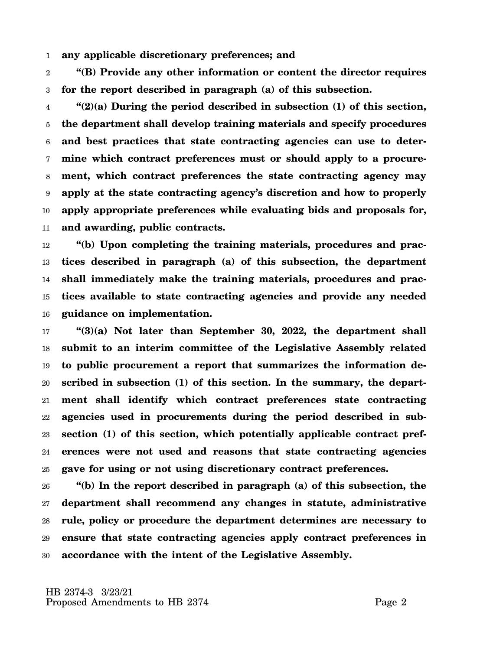1 **any applicable discretionary preferences; and**

2 3 **"(B) Provide any other information or content the director requires for the report described in paragraph (a) of this subsection.**

4 5 6 7 8 9 10 11 **"(2)(a) During the period described in subsection (1) of this section, the department shall develop training materials and specify procedures and best practices that state contracting agencies can use to determine which contract preferences must or should apply to a procurement, which contract preferences the state contracting agency may apply at the state contracting agency's discretion and how to properly apply appropriate preferences while evaluating bids and proposals for, and awarding, public contracts.**

12 13 14 15 16 **"(b) Upon completing the training materials, procedures and practices described in paragraph (a) of this subsection, the department shall immediately make the training materials, procedures and practices available to state contracting agencies and provide any needed guidance on implementation.**

17 18 19 20 21 22 23 24 25 **"(3)(a) Not later than September 30, 2022, the department shall submit to an interim committee of the Legislative Assembly related to public procurement a report that summarizes the information described in subsection (1) of this section. In the summary, the department shall identify which contract preferences state contracting agencies used in procurements during the period described in subsection (1) of this section, which potentially applicable contract preferences were not used and reasons that state contracting agencies gave for using or not using discretionary contract preferences.**

26 27 28 29 30 **"(b) In the report described in paragraph (a) of this subsection, the department shall recommend any changes in statute, administrative rule, policy or procedure the department determines are necessary to ensure that state contracting agencies apply contract preferences in accordance with the intent of the Legislative Assembly.**